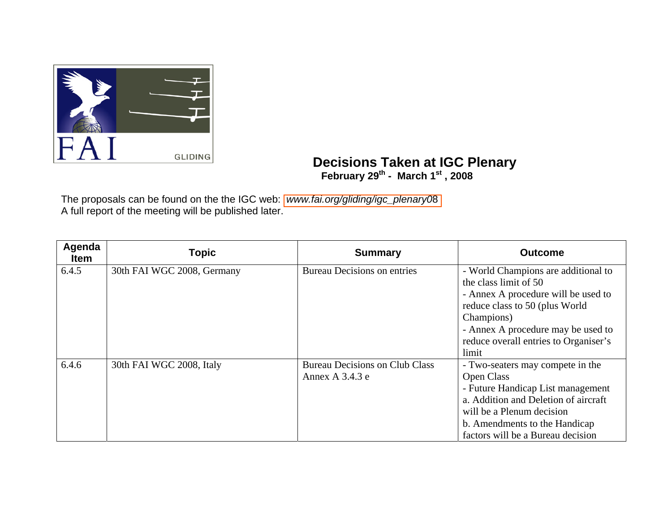

**Decisions Taken at IGC Plenary February 29th - March 1st , 2008** 

The proposals can be found on the the IGC web: *[www.fai.org/gliding/igc\\_plenary0](http://www.fai.org/gliding/igc_plenary08)*8 A full report of the meeting will be published later.

| Agenda<br><b>Item</b> | <b>Topic</b>               | <b>Summary</b>                                           | <b>Outcome</b>                                                                                                                                                                                                                              |
|-----------------------|----------------------------|----------------------------------------------------------|---------------------------------------------------------------------------------------------------------------------------------------------------------------------------------------------------------------------------------------------|
| 6.4.5                 | 30th FAI WGC 2008, Germany | <b>Bureau Decisions on entries</b>                       | - World Champions are additional to<br>the class limit of 50<br>- Annex A procedure will be used to<br>reduce class to 50 (plus World<br>Champions)<br>- Annex A procedure may be used to<br>reduce overall entries to Organiser's<br>limit |
| 6.4.6                 | 30th FAI WGC 2008, Italy   | <b>Bureau Decisions on Club Class</b><br>Annex A 3.4.3 e | - Two-seaters may compete in the<br><b>Open Class</b><br>- Future Handicap List management<br>a. Addition and Deletion of aircraft<br>will be a Plenum decision<br>b. Amendments to the Handicap<br>factors will be a Bureau decision       |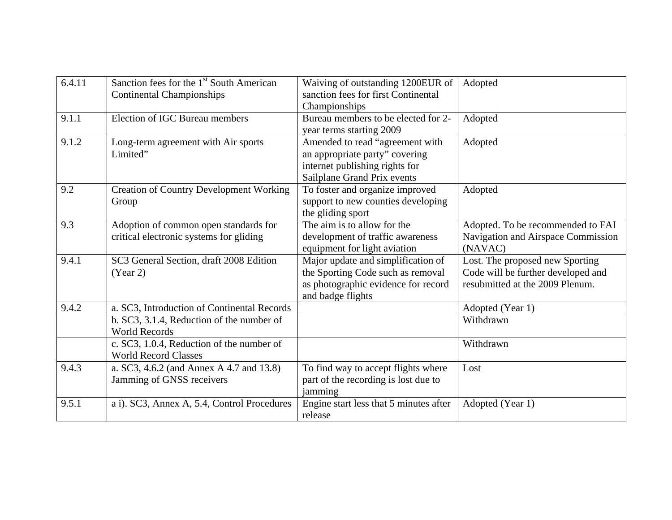| 6.4.11 | Sanction fees for the 1 <sup>st</sup> South American<br><b>Continental Championships</b> | Waiving of outstanding 1200EUR of<br>sanction fees for first Continental<br>Championships                                           | Adopted                                                                                                  |
|--------|------------------------------------------------------------------------------------------|-------------------------------------------------------------------------------------------------------------------------------------|----------------------------------------------------------------------------------------------------------|
| 9.1.1  | <b>Election of IGC Bureau members</b>                                                    | Bureau members to be elected for 2-<br>year terms starting 2009                                                                     | Adopted                                                                                                  |
| 9.1.2  | Long-term agreement with Air sports<br>Limited"                                          | Amended to read "agreement with<br>an appropriate party" covering<br>internet publishing rights for<br>Sailplane Grand Prix events  | Adopted                                                                                                  |
| 9.2    | <b>Creation of Country Development Working</b><br>Group                                  | To foster and organize improved<br>support to new counties developing<br>the gliding sport                                          | Adopted                                                                                                  |
| 9.3    | Adoption of common open standards for<br>critical electronic systems for gliding         | The aim is to allow for the<br>development of traffic awareness<br>equipment for light aviation                                     | Adopted. To be recommended to FAI<br>Navigation and Airspace Commission<br>(NAVAC)                       |
| 9.4.1  | SC3 General Section, draft 2008 Edition<br>(Year 2)                                      | Major update and simplification of<br>the Sporting Code such as removal<br>as photographic evidence for record<br>and badge flights | Lost. The proposed new Sporting<br>Code will be further developed and<br>resubmitted at the 2009 Plenum. |
| 9.4.2  | a. SC3, Introduction of Continental Records                                              |                                                                                                                                     | Adopted (Year 1)                                                                                         |
|        | b. SC3, 3.1.4, Reduction of the number of<br><b>World Records</b>                        |                                                                                                                                     | Withdrawn                                                                                                |
|        | c. SC3, 1.0.4, Reduction of the number of<br><b>World Record Classes</b>                 |                                                                                                                                     | Withdrawn                                                                                                |
| 9.4.3  | a. SC3, 4.6.2 (and Annex A 4.7 and 13.8)<br>Jamming of GNSS receivers                    | To find way to accept flights where<br>part of the recording is lost due to<br>jamming                                              | Lost                                                                                                     |
| 9.5.1  | a i). SC3, Annex A, 5.4, Control Procedures                                              | Engine start less that 5 minutes after<br>release                                                                                   | Adopted (Year 1)                                                                                         |